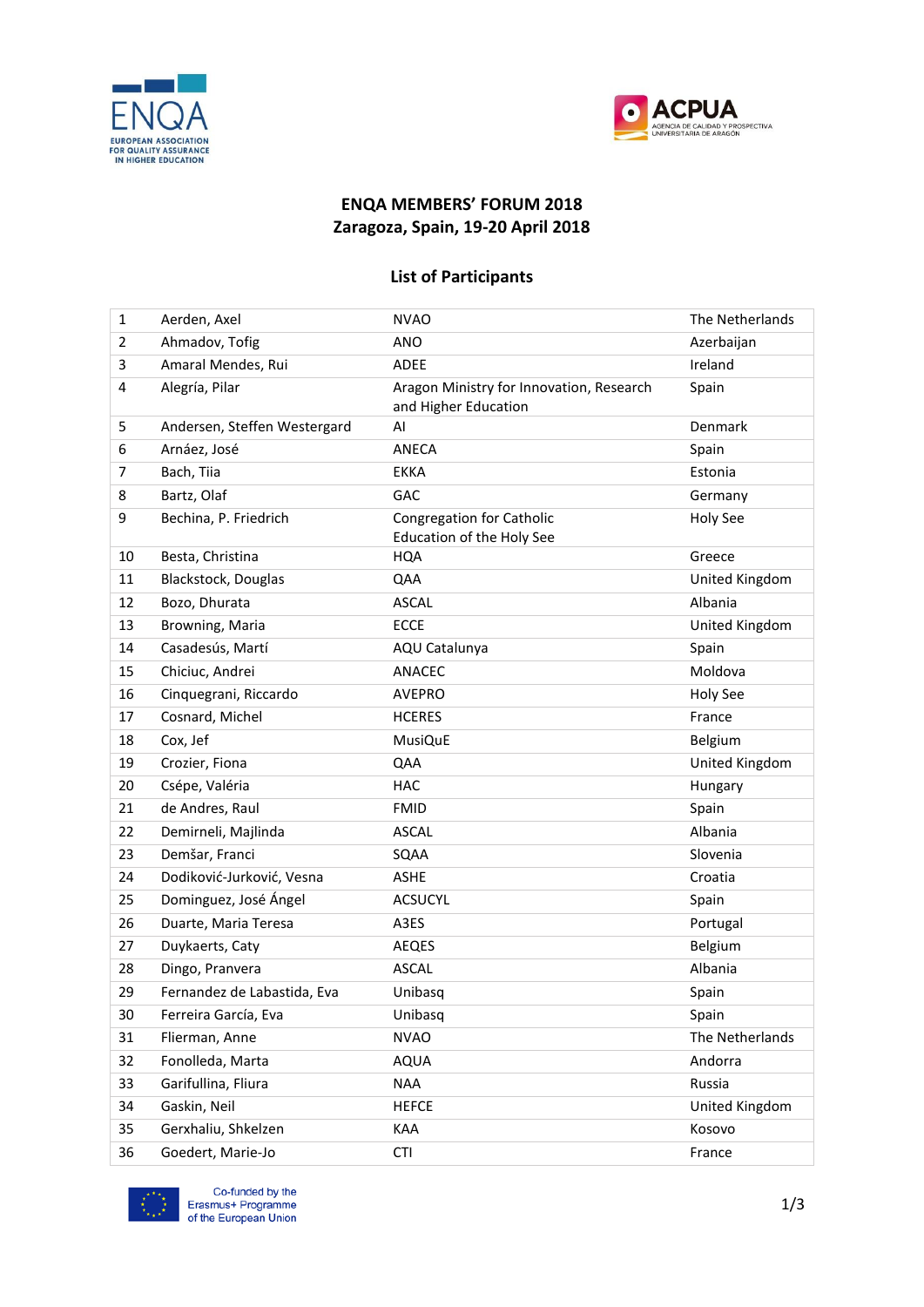



## **ENQA MEMBERS' FORUM 2018 Zaragoza, Spain, 19-20 April 2018**

## **List of Participants**

| $\mathbf{1}$   | Aerden, Axel                 | <b>NVAO</b>                                                      | The Netherlands |
|----------------|------------------------------|------------------------------------------------------------------|-----------------|
| $\overline{2}$ | Ahmadov, Tofig               | <b>ANO</b>                                                       | Azerbaijan      |
| 3              | Amaral Mendes, Rui           | ADEE                                                             | Ireland         |
| 4              | Alegría, Pilar               | Aragon Ministry for Innovation, Research<br>and Higher Education | Spain           |
| 5              | Andersen, Steffen Westergard | AI                                                               | Denmark         |
| 6              | Arnáez, José                 | ANECA                                                            | Spain           |
| $\overline{7}$ | Bach, Tiia                   | <b>EKKA</b>                                                      | Estonia         |
| 8              | Bartz, Olaf                  | GAC                                                              | Germany         |
| 9              | Bechina, P. Friedrich        | <b>Congregation for Catholic</b><br>Education of the Holy See    | Holy See        |
| 10             | Besta, Christina             | <b>HQA</b>                                                       | Greece          |
| 11             | Blackstock, Douglas          | QAA                                                              | United Kingdom  |
| 12             | Bozo, Dhurata                | <b>ASCAL</b>                                                     | Albania         |
| 13             | Browning, Maria              | <b>ECCE</b>                                                      | United Kingdom  |
| 14             | Casadesús, Martí             | AQU Catalunya                                                    | Spain           |
| 15             | Chiciuc, Andrei              | ANACEC                                                           | Moldova         |
| 16             | Cinquegrani, Riccardo        | <b>AVEPRO</b>                                                    | Holy See        |
| 17             | Cosnard, Michel              | <b>HCERES</b>                                                    | France          |
| 18             | Cox, Jef                     | <b>MusiQuE</b>                                                   | Belgium         |
| 19             | Crozier, Fiona               | QAA                                                              | United Kingdom  |
| 20             | Csépe, Valéria               | <b>HAC</b>                                                       | Hungary         |
| 21             | de Andres, Raul              | <b>FMID</b>                                                      | Spain           |
| 22             | Demirneli, Majlinda          | <b>ASCAL</b>                                                     | Albania         |
| 23             | Demšar, Franci               | SQAA                                                             | Slovenia        |
| 24             | Dodiković-Jurković, Vesna    | <b>ASHE</b>                                                      | Croatia         |
| 25             | Dominguez, José Ángel        | <b>ACSUCYL</b>                                                   | Spain           |
| 26             | Duarte, Maria Teresa         | A3ES                                                             | Portugal        |
| 27             | Duykaerts, Caty              | AEQES                                                            | Belgium         |
| 28             | Dingo, Pranvera              | <b>ASCAL</b>                                                     | Albania         |
| 29             | Fernandez de Labastida, Eva  | Unibasq                                                          | Spain           |
| 30             | Ferreira García, Eva         | Unibasq                                                          | Spain           |
| 31             | Flierman, Anne               | <b>NVAO</b>                                                      | The Netherlands |
| 32             | Fonolleda, Marta             | <b>AQUA</b>                                                      | Andorra         |
| 33             | Garifullina, Fliura          | <b>NAA</b>                                                       | Russia          |
| 34             | Gaskin, Neil                 | <b>HEFCE</b>                                                     | United Kingdom  |
| 35             | Gerxhaliu, Shkelzen          | KAA                                                              | Kosovo          |
| 36             | Goedert, Marie-Jo            | <b>CTI</b>                                                       | France          |

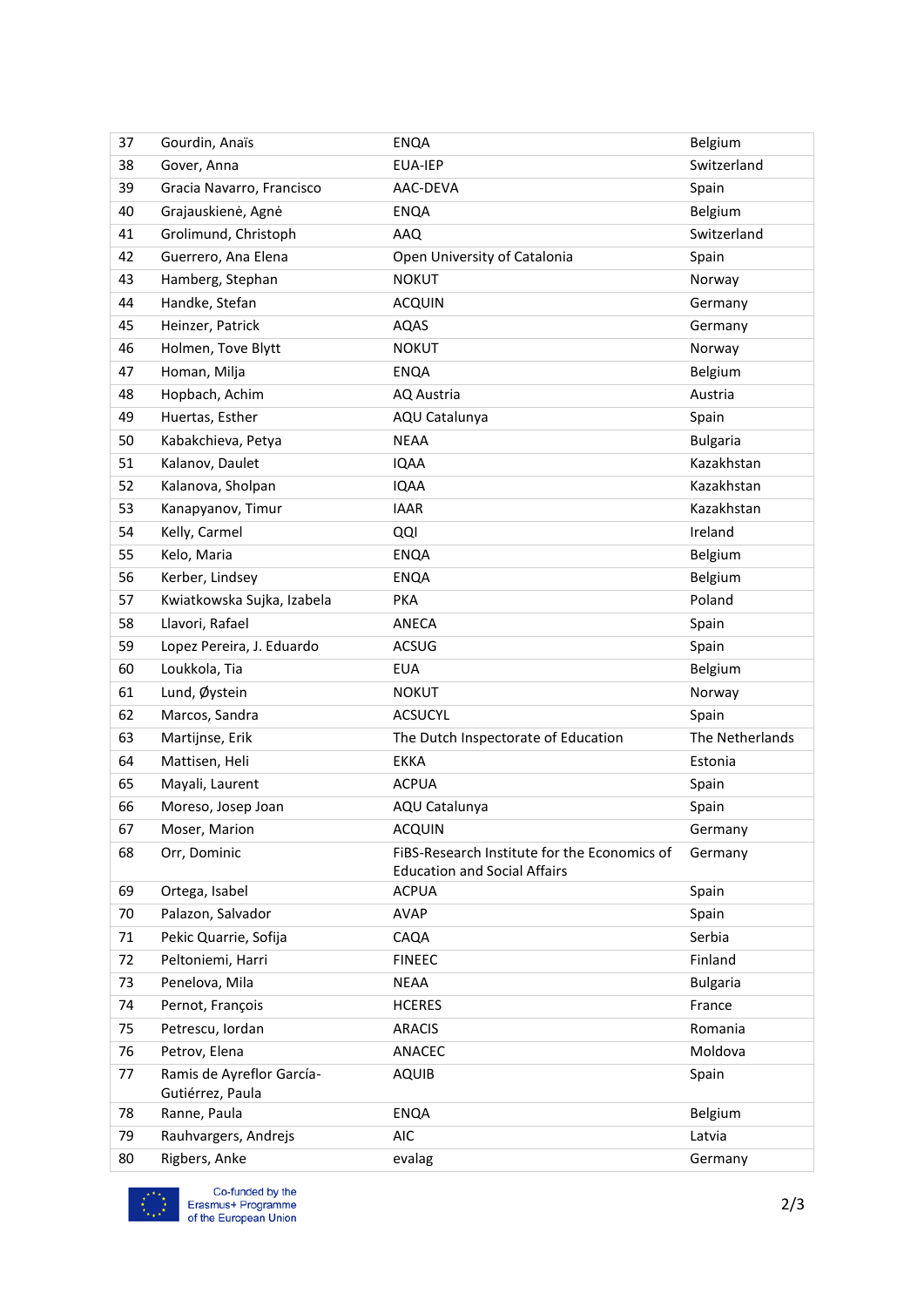| 37 | Gourdin, Anaïs                                | <b>ENQA</b>                                                                         | Belgium         |
|----|-----------------------------------------------|-------------------------------------------------------------------------------------|-----------------|
| 38 | Gover, Anna                                   | <b>EUA-IEP</b>                                                                      | Switzerland     |
| 39 | Gracia Navarro, Francisco                     | AAC-DEVA                                                                            | Spain           |
| 40 | Grajauskienė, Agnė                            | <b>ENQA</b>                                                                         | Belgium         |
| 41 | Grolimund, Christoph                          | <b>AAQ</b>                                                                          | Switzerland     |
| 42 | Guerrero, Ana Elena                           | Open University of Catalonia                                                        | Spain           |
| 43 | Hamberg, Stephan                              | <b>NOKUT</b>                                                                        | Norway          |
| 44 | Handke, Stefan                                | <b>ACQUIN</b>                                                                       | Germany         |
| 45 | Heinzer, Patrick                              | <b>AQAS</b>                                                                         | Germany         |
| 46 | Holmen, Tove Blytt                            | <b>NOKUT</b>                                                                        | Norway          |
| 47 | Homan, Milja                                  | <b>ENQA</b>                                                                         | Belgium         |
| 48 | Hopbach, Achim                                | AQ Austria                                                                          | Austria         |
| 49 | Huertas, Esther                               | AQU Catalunya                                                                       | Spain           |
| 50 | Kabakchieva, Petya                            | <b>NEAA</b>                                                                         | <b>Bulgaria</b> |
| 51 | Kalanov, Daulet                               | <b>IQAA</b>                                                                         | Kazakhstan      |
| 52 | Kalanova, Sholpan                             | <b>IQAA</b>                                                                         | Kazakhstan      |
| 53 | Kanapyanov, Timur                             | <b>IAAR</b>                                                                         | Kazakhstan      |
| 54 | Kelly, Carmel                                 | QQI                                                                                 | Ireland         |
| 55 | Kelo, Maria                                   | <b>ENQA</b>                                                                         | Belgium         |
| 56 | Kerber, Lindsey                               | <b>ENQA</b>                                                                         | Belgium         |
| 57 | Kwiatkowska Sujka, Izabela                    | <b>PKA</b>                                                                          | Poland          |
| 58 | Llavori, Rafael                               | ANECA                                                                               | Spain           |
| 59 | Lopez Pereira, J. Eduardo                     | ACSUG                                                                               | Spain           |
| 60 | Loukkola, Tia                                 | <b>EUA</b>                                                                          | Belgium         |
| 61 | Lund, Øystein                                 | <b>NOKUT</b>                                                                        | Norway          |
| 62 | Marcos, Sandra                                | <b>ACSUCYL</b>                                                                      | Spain           |
| 63 | Martijnse, Erik                               | The Dutch Inspectorate of Education                                                 | The Netherlands |
| 64 | Mattisen, Heli                                | <b>EKKA</b>                                                                         | Estonia         |
| 65 | Mayali, Laurent                               | <b>ACPUA</b>                                                                        | Spain           |
| 66 | Moreso, Josep Joan                            | AQU Catalunya                                                                       | Spain           |
| 67 | Moser, Marion                                 | <b>ACQUIN</b>                                                                       | Germany         |
| 68 | Orr, Dominic                                  | FIBS-Research Institute for the Economics of<br><b>Education and Social Affairs</b> | Germany         |
| 69 | Ortega, Isabel                                | <b>ACPUA</b>                                                                        | Spain           |
| 70 | Palazon, Salvador                             | <b>AVAP</b>                                                                         | Spain           |
| 71 | Pekic Quarrie, Sofija                         | CAQA                                                                                | Serbia          |
| 72 | Peltoniemi, Harri                             | <b>FINEEC</b>                                                                       | Finland         |
| 73 | Penelova, Mila                                | <b>NEAA</b>                                                                         | <b>Bulgaria</b> |
| 74 | Pernot, François                              | <b>HCERES</b>                                                                       | France          |
| 75 | Petrescu, Iordan                              | <b>ARACIS</b>                                                                       | Romania         |
| 76 | Petrov, Elena                                 | ANACEC                                                                              | Moldova         |
| 77 | Ramis de Ayreflor García-<br>Gutiérrez, Paula | <b>AQUIB</b>                                                                        | Spain           |
| 78 | Ranne, Paula                                  | <b>ENQA</b>                                                                         | Belgium         |
| 79 | Rauhvargers, Andrejs                          | <b>AIC</b>                                                                          | Latvia          |
| 80 | Rigbers, Anke                                 | evalag                                                                              | Germany         |